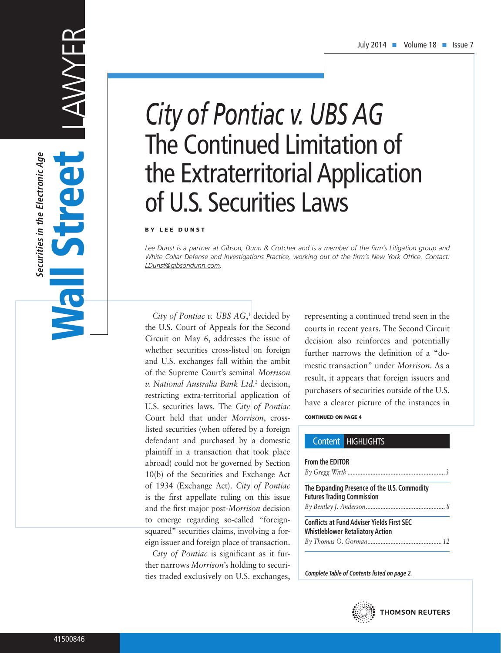# LAWYER Wall Street **SERVE**

**Securities in the Electronic Age**

Securities in the Electronic Age

# *City of Pontiac v. UBS AG* The Continued Limitation of the Extraterritorial Application of U.S. Securities Laws

#### BY LEE DUNST

*Lee Dunst is a partner at Gibson, Dunn & Crutcher and is a member of the firm's Litigation group and White Collar Defense and Investigations Practice, working out of the firm's New York Office. Contact: LDunst@gibsondunn.com.*

City of Pontiac v. UBS AG,<sup>1</sup> decided by the U.S. Court of Appeals for the Second Circuit on May 6, addresses the issue of whether securities cross-listed on foreign and U.S. exchanges fall within the ambit of the Supreme Court's seminal *Morrison v. National Australia Bank Ltd.2* decision, restricting extra-territorial application of U.S. securities laws. The *City of Pontiac* Court held that under *Morrison*, crosslisted securities (when offered by a foreign defendant and purchased by a domestic plaintiff in a transaction that took place abroad) could not be governed by Section 10(b) of the Securities and Exchange Act of 1934 (Exchange Act). *City of Pontiac* is the first appellate ruling on this issue and the first major post-*Morrison* decision to emerge regarding so-called "foreignsquared" securities claims, involving a foreign issuer and foreign place of transaction.

*City of Pontiac* is significant as it further narrows *Morrison*'s holding to securities traded exclusively on U.S. exchanges, CONTINUED ON PAGE 4 representing a continued trend seen in the courts in recent years. The Second Circuit decision also reinforces and potentially further narrows the definition of a "domestic transaction" under *Morrison*. As a result, it appears that foreign issuers and purchasers of securities outside of the U.S. have a clearer picture of the instances in

#### Content HIGHLIGHTS

## **From the EDITOR** *By Gregg Wirth ...........................................................3* **The Expanding Presence of the U.S. Commodity Futures Trading Commission** *By Bentley J. Anderson................................................ 8* **Conflicts at Fund Adviser Yields First SEC Whistleblower Retaliatory Action** *By Thomas O. Gorman............................................. 12*

**Complete Table of Contents listed on page 2.**

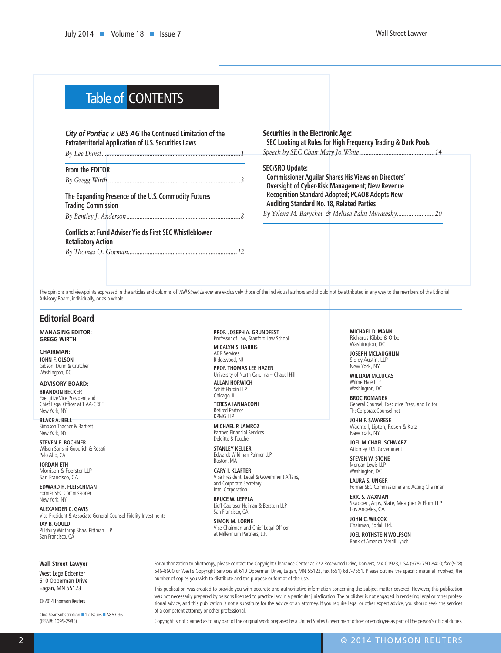# Table of CONTENTS

#### *City of Pontiac v. UBS AG* **The Continued Limitation of the Extraterritorial Application of U.S. Securities Laws**

*By Lee Dunst....................................................................................1*

#### **From the EDITOR**

*By Gregg Wirth ................................................................................3*

#### **The Expanding Presence of the U.S. Commodity Futures Trading Commission**

*By Bentley J. Anderson.....................................................................8*

#### **Conflicts at Fund Adviser Yields First SEC Whistleblower Retaliatory Action**

*By Thomas O. Gorman..................................................................12*

#### Securities in the Electronic Age:

**SEC Looking at Rules for High Frequency Trading & Dark Pools** *Speech by SEC Chair Mary Jo White .............................................14*

#### **SEC/SRO Update:**

**Commissioner Aguilar Shares His Views on Directors' Oversight of Cyber-Risk Management; New Revenue Recognition Standard Adopted; PCAOB Adopts New Auditing Standard No. 18, Related Parties**

*By Yelena M. Barychev & Melissa Palat Murawsky.......................20*

The opinions and viewpoints expressed in the articles and columns of *Wall Street Lawyer* are exclusively those of the individual authors and should not be attributed in any way to the members of the Editorial Advisory Board, individually, or as a whole.

#### **Editorial Board**

**MANAGING EDITOR: GREGG WIRTH**

**CHAIRMAN: JOHN F. OLSON** Gibson, Dunn & Crutcher Washington, DC

**ADVISORY BOARD: BRANDON BECKER** Executive Vice President and Chief Legal Officer at TIAA-CREF New York, NY

**BLAKE A. BELL** Simpson Thacher & Bartlett New York, NY

**STEVEN E. BOCHNER** Wilson Sonsini Goodrich & Rosati Palo Alto, CA

**JORDAN ETH** Morrison & Foerster LLP San Francisco, CA

**EDWARD H. FLEISCHMAN** Former SEC Commissioner New York, NY

**ALEXANDER C. GAVIS** Vice President & Associate General Counsel Fidelity Investments **JAY B. GOULD** Pillsbury Winthrop Shaw Pittman LLP San Francisco, CA

**PROF. JOSEPH A. GRUNDFEST** Professor of Law, Stanford Law School **MICALYN S. HARRIS**

ADR Services Ridgewood, NJ

**PROF. THOMAS LEE HAZEN** University of North Carolina – Chapel Hill **ALLAN HORWICH**

Schiff Hardin LLP Chicago, IL

**TERESA IANNACONI** Retired Partner KPMG LLP

**MICHAEL P. JAMROZ** Partner, Financial Services Deloitte & Touche

**STANLEY KELLER** Edwards Wildman Palmer LLP Boston, MA

**CARY I. KLAFTER** Vice President, Legal & Government Affairs, and Corporate Secretary Intel Corporation

**BRUCE W. LEPPLA** Lieff Cabraser Heiman & Berstein LLP San Francisco, CA

**SIMON M. LORNE** Vice Chairman and Chief Legal Officer at Millennium Partners, L.P.

**MICHAEL D. MANN** Richards Kibbe & Orbe Washington, DC

**JOSEPH MCLAUGHLIN** Sidley Austin, LLP New York, NY

WILLIAM MCLUCAS WilmerHale LLP Washington, DC

**BROC ROMANEK** General Counsel, Executive Press, and Editor TheCorporateCounsel.net

**JOHN F. SAVARESE** Wachtell, Lipton, Rosen & Katz New York, NY

**JOEL MICHAEL SCHWARZ** Attorney, U.S. Government

**STEVEN W. STONE** Morgan Lewis LLP Washington, DC

**LAURA S. UNGER** Former SEC Commissioner and Acting Chairman

**ERIC S. WAXMAN** Skadden, Arps, Slate, Meagher & Flom LLP Los Angeles, CA

**JOHN C. WILCOX** Chairman, Sodali Ltd.

**JOEL ROTHSTEIN WOLFSON** Bank of America Merrill Lynch

**Wall Street Lawyer**

West LegalEdcenter 610 Opperman Drive Eagan, MN 55123

© 2014 Thomson Reuters

One Year Subscription = 12 Issues = \$867.96 (ISSN#: 1095-2985)

For authorization to photocopy, please contact the Copyright Clearance Center at 222 Rosewood Drive, Danvers, MA 01923, USA (978) 750-8400; fax (978) 646-8600 or West's Copyright Services at 610 Opperman Drive, Eagan, MN 55123, fax (651) 687-7551. Please outline the specific material involved, the number of copies you wish to distribute and the purpose or format of the use.

This publication was created to provide you with accurate and authoritative information concerning the subject matter covered. However, this publication was not necessarily prepared by persons licensed to practice law in a particular jurisdication. The publisher is not engaged in rendering legal or other professional advice, and this publication is not a substitute for the advice of an attorney. If you require legal or other expert advice, you should seek the services of a competent attorney or other professional.

Copyright is not claimed as to any part of the original work prepared by a United States Government officer or employee as part of the person's official duties.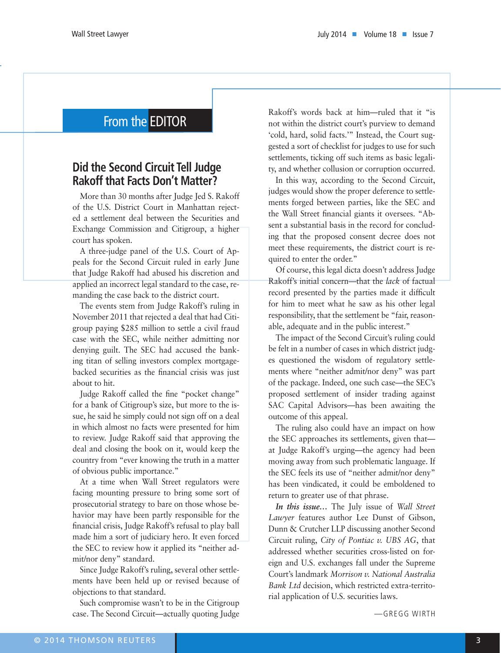# From the EDITOR

# **Did the Second Circuit Tell Judge Rakoff that Facts Don't Matter?**

More than 30 months after Judge Jed S. Rakoff of the U.S. District Court in Manhattan rejected a settlement deal between the Securities and Exchange Commission and Citigroup, a higher court has spoken.

A three-judge panel of the U.S. Court of Appeals for the Second Circuit ruled in early June that Judge Rakoff had abused his discretion and applied an incorrect legal standard to the case, remanding the case back to the district court.

The events stem from Judge Rakoff's ruling in November 2011 that rejected a deal that had Citigroup paying \$285 million to settle a civil fraud case with the SEC, while neither admitting nor denying guilt. The SEC had accused the banking titan of selling investors complex mortgagebacked securities as the financial crisis was just about to hit.

Judge Rakoff called the fine "pocket change" for a bank of Citigroup's size, but more to the issue, he said he simply could not sign off on a deal in which almost no facts were presented for him to review. Judge Rakoff said that approving the deal and closing the book on it, would keep the country from "ever knowing the truth in a matter of obvious public importance."

At a time when Wall Street regulators were facing mounting pressure to bring some sort of prosecutorial strategy to bare on those whose behavior may have been partly responsible for the financial crisis, Judge Rakoff's refusal to play ball made him a sort of judiciary hero. It even forced the SEC to review how it applied its "neither admit/nor deny" standard.

Since Judge Rakoff's ruling, several other settlements have been held up or revised because of objections to that standard.

Such compromise wasn't to be in the Citigroup case. The Second Circuit—actually quoting Judge

Rakoff's words back at him—ruled that it "is not within the district court's purview to demand 'cold, hard, solid facts.'" Instead, the Court suggested a sort of checklist for judges to use for such settlements, ticking off such items as basic legality, and whether collusion or corruption occurred.

In this way, according to the Second Circuit, judges would show the proper deference to settlements forged between parties, like the SEC and the Wall Street financial giants it oversees. "Absent a substantial basis in the record for concluding that the proposed consent decree does not meet these requirements, the district court is required to enter the order."

Of course, this legal dicta doesn't address Judge Rakoff's initial concern—that the *lack* of factual record presented by the parties made it difficult for him to meet what he saw as his other legal responsibility, that the settlement be "fair, reasonable, adequate and in the public interest."

The impact of the Second Circuit's ruling could be felt in a number of cases in which district judges questioned the wisdom of regulatory settlements where "neither admit/nor deny" was part of the package. Indeed, one such case—the SEC's proposed settlement of insider trading against SAC Capital Advisors—has been awaiting the outcome of this appeal.

The ruling also could have an impact on how the SEC approaches its settlements, given that at Judge Rakoff's urging—the agency had been moving away from such problematic language. If the SEC feels its use of "neither admit/nor deny" has been vindicated, it could be emboldened to return to greater use of that phrase.

*In this issue…* The July issue of *Wall Street Lawyer* features author Lee Dunst of Gibson, Dunn & Crutcher LLP discussing another Second Circuit ruling, *City of Pontiac v. UBS AG*, that addressed whether securities cross-listed on foreign and U.S. exchanges fall under the Supreme Court's landmark *Morrison v. National Australia Bank Ltd* decision, which restricted extra-territorial application of U.S. securities laws.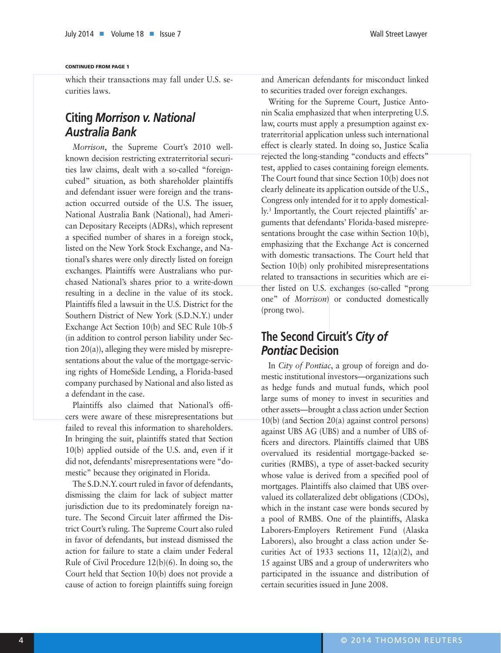#### CONTINUED FROM PAGE 1

which their transactions may fall under U.S. securities laws.

# **Citing** *Morrison v. National Australia Bank*

*Morrison*, the Supreme Court's 2010 wellknown decision restricting extraterritorial securities law claims, dealt with a so-called "foreigncubed" situation, as both shareholder plaintiffs and defendant issuer were foreign and the transaction occurred outside of the U.S. The issuer, National Australia Bank (National), had American Depositary Receipts (ADRs), which represent a specified number of shares in a foreign stock, listed on the New York Stock Exchange, and National's shares were only directly listed on foreign exchanges. Plaintiffs were Australians who purchased National's shares prior to a write-down resulting in a decline in the value of its stock. Plaintiffs filed a lawsuit in the U.S. District for the Southern District of New York (S.D.N.Y.) under Exchange Act Section 10(b) and SEC Rule 10b-5 (in addition to control person liability under Section 20(a)), alleging they were misled by misrepresentations about the value of the mortgage-servicing rights of HomeSide Lending, a Florida-based company purchased by National and also listed as a defendant in the case.

Plaintiffs also claimed that National's officers were aware of these misrepresentations but failed to reveal this information to shareholders. In bringing the suit, plaintiffs stated that Section 10(b) applied outside of the U.S. and, even if it did not, defendants' misrepresentations were "domestic" because they originated in Florida.

The S.D.N.Y. court ruled in favor of defendants, dismissing the claim for lack of subject matter jurisdiction due to its predominately foreign nature. The Second Circuit later affirmed the District Court's ruling. The Supreme Court also ruled in favor of defendants, but instead dismissed the action for failure to state a claim under Federal Rule of Civil Procedure 12(b)(6). In doing so, the Court held that Section 10(b) does not provide a cause of action to foreign plaintiffs suing foreign and American defendants for misconduct linked to securities traded over foreign exchanges.

Writing for the Supreme Court, Justice Antonin Scalia emphasized that when interpreting U.S. law, courts must apply a presumption against extraterritorial application unless such international effect is clearly stated. In doing so, Justice Scalia rejected the long-standing "conducts and effects" test, applied to cases containing foreign elements. The Court found that since Section 10(b) does not clearly delineate its application outside of the U.S., Congress only intended for it to apply domestically.3 Importantly, the Court rejected plaintiffs' arguments that defendants' Florida-based misrepresentations brought the case within Section 10(b), emphasizing that the Exchange Act is concerned with domestic transactions. The Court held that Section 10(b) only prohibited misrepresentations related to transactions in securities which are either listed on U.S. exchanges (so-called "prong one" of *Morrison*) or conducted domestically (prong two).

# **The Second Circuit's** *City of Pontiac* **Decision**

In *City of Pontiac*, a group of foreign and domestic institutional investors—organizations such as hedge funds and mutual funds, which pool large sums of money to invest in securities and other assets—brought a class action under Section 10(b) (and Section 20(a) against control persons) against UBS AG (UBS) and a number of UBS officers and directors. Plaintiffs claimed that UBS overvalued its residential mortgage-backed securities (RMBS), a type of asset-backed security whose value is derived from a specified pool of mortgages. Plaintiffs also claimed that UBS overvalued its collateralized debt obligations (CDOs), which in the instant case were bonds secured by a pool of RMBS. One of the plaintiffs, Alaska Laborers-Employers Retirement Fund (Alaska Laborers), also brought a class action under Securities Act of 1933 sections 11, 12(a)(2), and 15 against UBS and a group of underwriters who participated in the issuance and distribution of certain securities issued in June 2008.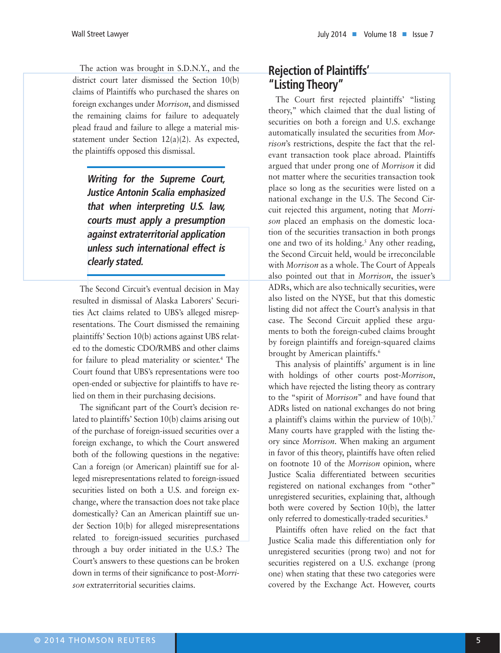The action was brought in S.D.N.Y., and the district court later dismissed the Section 10(b) claims of Plaintiffs who purchased the shares on foreign exchanges under *Morrison*, and dismissed the remaining claims for failure to adequately plead fraud and failure to allege a material misstatement under Section 12(a)(2). As expected, the plaintiffs opposed this dismissal.

**Writing for the Supreme Court, Justice Antonin Scalia emphasized that when interpreting U.S. law, courts must apply a presumption against extraterritorial application unless such international effect is clearly stated.**

The Second Circuit's eventual decision in May resulted in dismissal of Alaska Laborers' Securities Act claims related to UBS's alleged misrepresentations. The Court dismissed the remaining plaintiffs' Section 10(b) actions against UBS related to the domestic CDO/RMBS and other claims for failure to plead materiality or scienter.4 The Court found that UBS's representations were too open-ended or subjective for plaintiffs to have relied on them in their purchasing decisions.

The significant part of the Court's decision related to plaintiffs' Section 10(b) claims arising out of the purchase of foreign-issued securities over a foreign exchange, to which the Court answered both of the following questions in the negative: Can a foreign (or American) plaintiff sue for alleged misrepresentations related to foreign-issued securities listed on both a U.S. and foreign exchange, where the transaction does not take place domestically? Can an American plaintiff sue under Section 10(b) for alleged misrepresentations related to foreign-issued securities purchased through a buy order initiated in the U.S.? The Court's answers to these questions can be broken down in terms of their significance to post-*Morrison* extraterritorial securities claims.

# **Rejection of Plaintiffs' "Listing Theory"**

The Court first rejected plaintiffs' "listing theory," which claimed that the dual listing of securities on both a foreign and U.S. exchange automatically insulated the securities from *Morrison*'s restrictions, despite the fact that the relevant transaction took place abroad. Plaintiffs argued that under prong one of *Morrison* it did not matter where the securities transaction took place so long as the securities were listed on a national exchange in the U.S. The Second Circuit rejected this argument, noting that *Morrison* placed an emphasis on the domestic location of the securities transaction in both prongs one and two of its holding.<sup>5</sup> Any other reading, the Second Circuit held, would be irreconcilable with *Morrison* as a whole. The Court of Appeals also pointed out that in *Morrison*, the issuer's ADRs, which are also technically securities, were also listed on the NYSE, but that this domestic listing did not affect the Court's analysis in that case. The Second Circuit applied these arguments to both the foreign-cubed claims brought by foreign plaintiffs and foreign-squared claims brought by American plaintiffs.<sup>6</sup>

This analysis of plaintiffs' argument is in line with holdings of other courts post-*Morrison*, which have rejected the listing theory as contrary to the "spirit of *Morrison*" and have found that ADRs listed on national exchanges do not bring a plaintiff's claims within the purview of  $10(b)$ .<sup>7</sup> Many courts have grappled with the listing theory since *Morrison*. When making an argument in favor of this theory, plaintiffs have often relied on footnote 10 of the *Morrison* opinion, where Justice Scalia differentiated between securities registered on national exchanges from "other" unregistered securities, explaining that, although both were covered by Section 10(b), the latter only referred to domestically-traded securities.<sup>8</sup>

Plaintiffs often have relied on the fact that Justice Scalia made this differentiation only for unregistered securities (prong two) and not for securities registered on a U.S. exchange (prong one) when stating that these two categories were covered by the Exchange Act. However, courts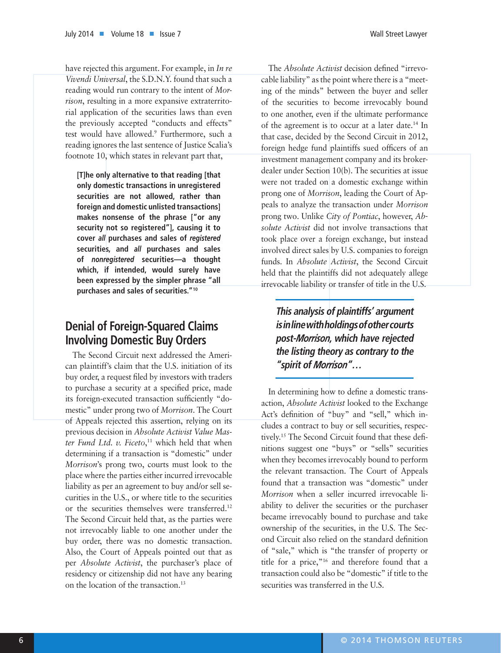have rejected this argument. For example, in *In re Vivendi Universal*, the S.D.N.Y. found that such a reading would run contrary to the intent of *Morrison*, resulting in a more expansive extraterritorial application of the securities laws than even the previously accepted "conducts and effects" test would have allowed.9 Furthermore, such a reading ignores the last sentence of Justice Scalia's footnote 10, which states in relevant part that,

**[T]he only alternative to that reading [that only domestic transactions in unregistered securities are not allowed, rather than foreign and domestic unlisted transactions] makes nonsense of the phrase ["or any security not so registered"], causing it to cover** *all* **purchases and sales of** *registered* **securities, and** *all* **purchases and sales of** *nonregistered* **securities—a thought which, if intended, would surely have been expressed by the simpler phrase "all purchases and sales of securities."10**

# **Denial of Foreign-Squared Claims Involving Domestic Buy Orders**

The Second Circuit next addressed the American plaintiff's claim that the U.S. initiation of its buy order, a request filed by investors with traders to purchase a security at a specified price, made its foreign-executed transaction sufficiently "domestic" under prong two of *Morrison*. The Court of Appeals rejected this assertion, relying on its previous decision in *Absolute Activist Value Master Fund Ltd. v. Ficeto*, 11 which held that when determining if a transaction is "domestic" under *Morrison*'s prong two, courts must look to the place where the parties either incurred irrevocable liability as per an agreement to buy and/or sell securities in the U.S., or where title to the securities or the securities themselves were transferred.12 The Second Circuit held that, as the parties were not irrevocably liable to one another under the buy order, there was no domestic transaction. Also, the Court of Appeals pointed out that as per *Absolute Activist*, the purchaser's place of residency or citizenship did not have any bearing on the location of the transaction.13

The *Absolute Activist* decision defined "irrevocable liability" as the point where there is a "meeting of the minds" between the buyer and seller of the securities to become irrevocably bound to one another, even if the ultimate performance of the agreement is to occur at a later date.<sup>14</sup> In that case, decided by the Second Circuit in 2012, foreign hedge fund plaintiffs sued officers of an investment management company and its brokerdealer under Section 10(b). The securities at issue were not traded on a domestic exchange within prong one of *Morrison*, leading the Court of Appeals to analyze the transaction under *Morrison* prong two. Unlike *City of Pontiac*, however, *Absolute Activist* did not involve transactions that took place over a foreign exchange, but instead involved direct sales by U.S. companies to foreign funds. In *Absolute Activist*, the Second Circuit held that the plaintiffs did not adequately allege irrevocable liability or transfer of title in the U.S.

**This analysis of plaintiffs' argument is in line with holdings of other courts post-***Morrison***, which have rejected the listing theory as contrary to the "spirit of** *Morrison***"…**

In determining how to define a domestic transaction, *Absolute Activist* looked to the Exchange Act's definition of "buy" and "sell," which includes a contract to buy or sell securities, respectively.15 The Second Circuit found that these definitions suggest one "buys" or "sells" securities when they becomes irrevocably bound to perform the relevant transaction. The Court of Appeals found that a transaction was "domestic" under *Morrison* when a seller incurred irrevocable liability to deliver the securities or the purchaser became irrevocably bound to purchase and take ownership of the securities, in the U.S. The Second Circuit also relied on the standard definition of "sale," which is "the transfer of property or title for a price,"16 and therefore found that a transaction could also be "domestic" if title to the securities was transferred in the U.S.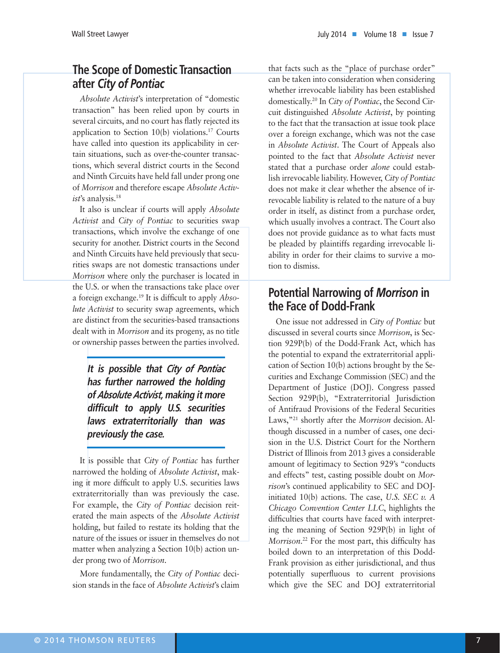# **The Scope of Domestic Transaction after** *City of Pontiac*

*Absolute Activist*'s interpretation of "domestic transaction" has been relied upon by courts in several circuits, and no court has flatly rejected its application to Section 10(b) violations.17 Courts have called into question its applicability in certain situations, such as over-the-counter transactions, which several district courts in the Second and Ninth Circuits have held fall under prong one of *Morrison* and therefore escape *Absolute Activist*'s analysis.18

It also is unclear if courts will apply *Absolute Activist* and *City of Pontiac* to securities swap transactions, which involve the exchange of one security for another. District courts in the Second and Ninth Circuits have held previously that securities swaps are not domestic transactions under *Morrison* where only the purchaser is located in the U.S. or when the transactions take place over a foreign exchange.19 It is difficult to apply *Absolute Activist* to security swap agreements, which are distinct from the securities-based transactions dealt with in *Morrison* and its progeny, as no title or ownership passes between the parties involved.

**It is possible that** *City of Pontiac* **has further narrowed the holding of** *Absolute Activist***, making it more difficult to apply U.S. securities laws extraterritorially than was previously the case.**

It is possible that *City of Pontiac* has further narrowed the holding of *Absolute Activist*, making it more difficult to apply U.S. securities laws extraterritorially than was previously the case. For example, the *City of Pontiac* decision reiterated the main aspects of the *Absolute Activist* holding, but failed to restate its holding that the nature of the issues or issuer in themselves do not matter when analyzing a Section 10(b) action under prong two of *Morrison*.

More fundamentally, the *City of Pontiac* decision stands in the face of *Absolute Activist*'s claim that facts such as the "place of purchase order" can be taken into consideration when considering whether irrevocable liability has been established domestically.20 In *City of Pontiac*, the Second Circuit distinguished *Absolute Activist*, by pointing to the fact that the transaction at issue took place over a foreign exchange, which was not the case in *Absolute Activist*. The Court of Appeals also pointed to the fact that *Absolute Activist* never stated that a purchase order *alone* could establish irrevocable liability. However, *City of Pontiac* does not make it clear whether the absence of irrevocable liability is related to the nature of a buy order in itself, as distinct from a purchase order, which usually involves a contract. The Court also does not provide guidance as to what facts must be pleaded by plaintiffs regarding irrevocable liability in order for their claims to survive a motion to dismiss.

# **Potential Narrowing of** *Morrison* **in the Face of Dodd-Frank**

One issue not addressed in *City of Pontiac* but discussed in several courts since *Morrison*, is Section 929P(b) of the Dodd-Frank Act, which has the potential to expand the extraterritorial application of Section 10(b) actions brought by the Securities and Exchange Commission (SEC) and the Department of Justice (DOJ). Congress passed Section 929P(b), "Extraterritorial Jurisdiction of Antifraud Provisions of the Federal Securities Laws,"21 shortly after the *Morrison* decision. Although discussed in a number of cases, one decision in the U.S. District Court for the Northern District of Illinois from 2013 gives a considerable amount of legitimacy to Section 929's "conducts and effects" test, casting possible doubt on *Morrison*'s continued applicability to SEC and DOJinitiated 10(b) actions. The case, *U.S. SEC v. A Chicago Convention Center LLC*, highlights the difficulties that courts have faced with interpreting the meaning of Section 929P(b) in light of *Morrison*. 22 For the most part, this difficulty has boiled down to an interpretation of this Dodd-Frank provision as either jurisdictional, and thus potentially superfluous to current provisions which give the SEC and DOJ extraterritorial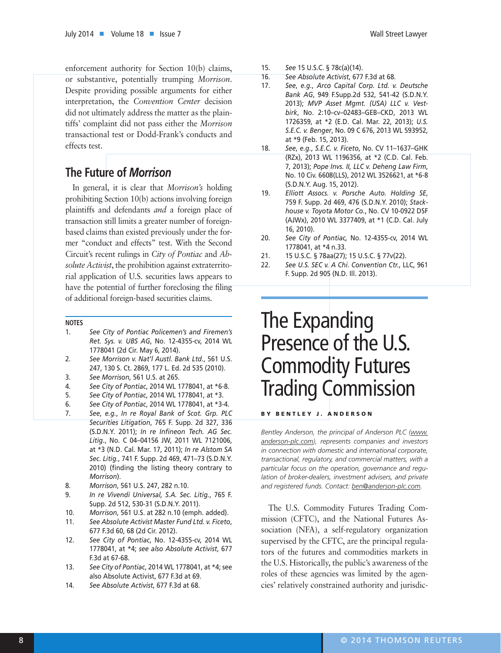enforcement authority for Section 10(b) claims, or substantive, potentially trumping *Morrison*. Despite providing possible arguments for either interpretation, the *Convention Center* decision did not ultimately address the matter as the plaintiffs' complaint did not pass either the *Morrison* transactional test or Dodd-Frank's conducts and effects test.

# **The Future of** *Morrison*

In general, it is clear that *Morrison's* holding prohibiting Section 10(b) actions involving foreign plaintiffs and defendants *and* a foreign place of transaction still limits a greater number of foreignbased claims than existed previously under the former "conduct and effects" test. With the Second Circuit's recent rulings in *City of Pontiac* and *Absolute Activist*, the prohibition against extraterritorial application of U.S. securities laws appears to have the potential of further foreclosing the filing of additional foreign-based securities claims.

#### **NOTES**

- 1. *See City of Pontiac Policemen's and Firemen's Ret. Sys. v. UBS AG*, No. 12-4355-cv, 2014 WL 1778041 (2d Cir. May 6, 2014).
- 2. *See Morrison v. Nat'l Austl. Bank Ltd.*, 561 U.S. 247, 130 S. Ct. 2869, 177 L. Ed. 2d 535 (2010).
- 3. *See Morrison*, 561 U.S. at 265.
- 4. *See City of Pontiac*, 2014 WL 1778041, at \*6-8.
- 5. *See City of Pontiac*, 2014 WL 1778041, at \*3.
- 6. *See City of Pontiac*, 2014 WL 1778041, at \*3-4.
- 7. *See*, *e.g.*, *In re Royal Bank of Scot. Grp. PLC Securities Litigation*, 765 F. Supp. 2d 327, 336 (S.D.N.Y. 2011); *In re Infineon Tech. AG Sec. Litig.*, No. C 04–04156 JW, 2011 WL 7121006, at \*3 (N.D. Cal. Mar. 17, 2011); *In re Alstom SA Sec. Litig.*, 741 F. Supp. 2d 469, 471–73 (S.D.N.Y. 2010) (finding the listing theory contrary to *Morrison*).
- 8. *Morrison*, 561 U.S. 247, 282 n.10.
- 9. *In re Vivendi Universal, S.A. Sec. Litig.*, 765 F. Supp. 2d 512, 530-31 (S.D.N.Y. 2011).
- 10. *Morrison*, 561 U.S. at 282 n.10 (emph. added).
- 11. *See Absolute Activist Master Fund Ltd. v. Ficeto*, 677 F.3d 60, 68 (2d Cir. 2012).
- 12. *See City of Pontiac*, No. 12-4355-cv, 2014 WL 1778041, at \*4; *see also Absolute Activist*, 677 F.3d at 67-68.
- 13. *See City of Pontiac*, 2014 WL 1778041, at \*4; see also Absolute Activist, 677 F.3d at 69.
- 14. *See Absolute Activist*, 677 F.3d at 68.
- 15. *See* 15 U.S.C. § 78c(a)(14).
- 16. *See Absolute Activist*, 677 F.3d at 68.
- 17. *See*, *e.g.*, *Arco Capital Corp. Ltd. v. Deutsche Bank AG*, 949 F.Supp.2d 532, 541-42 (S.D.N.Y. 2013); *MVP Asset Mgmt. (USA) LLC v. Vestbirk*, No. 2:10–cv–02483–GEB–CKD, 2013 WL 1726359, at \*2 (E.D. Cal. Mar. 22, 2013); *U.S. S.E.C. v. Benger*, No. 09 C 676, 2013 WL 593952, at \*9 (Feb. 15, 2013).
- 18. *See*, *e.g.*, *S.E.C. v. Ficeto*, No. CV 11–1637–GHK (RZx), 2013 WL 1196356, at \*2 (C.D. Cal. Feb. 7, 2013); *Pope Invs. II, LLC v. Deheng Law Firm*, No. 10 Civ. 6608(LLS), 2012 WL 3526621, at \*6-8 (S.D.N.Y. Aug. 15, 2012).
- 19. *Elliott Assocs. v. Porsche Auto. Holding SE*, 759 F. Supp. 2d 469, 476 (S.D.N.Y. 2010); *Stackhouse v. Toyota Motor Co.*, No. CV 10-0922 DSF (AJWx), 2010 WL 3377409, at \*1 (C.D. Cal. July 16, 2010).
- 20. *See City of Pontiac,* No. 12-4355-cv, 2014 WL 1778041, at \*4 n.33.
- 21. 15 U.S.C. § 78aa(27); 15 U.S.C. § 77v(22).
- 22. *See U.S. SEC v. A Chi. Convention Ctr.*, LLC, 961 F. Supp. 2d 905 (N.D. Ill. 2013).

# The Expanding Presence of the U.S. Commodity Futures Trading Commission

BY BENTLEY J. ANDERSON

*Bentley Anderson, the principal of Anderson PLC (www. anderson-plc.com), represents companies and investors in connection with domestic and international corporate, transactional, regulatory, and commercial matters, with a particular focus on the operation, governance and regulation of broker-dealers, investment advisers, and private and registered funds. Contact: ben@anderson-plc.com.*

The U.S. Commodity Futures Trading Commission (CFTC), and the National Futures Association (NFA), a self-regulatory organization supervised by the CFTC, are the principal regulators of the futures and commodities markets in the U.S. Historically, the public's awareness of the roles of these agencies was limited by the agencies' relatively constrained authority and jurisdic-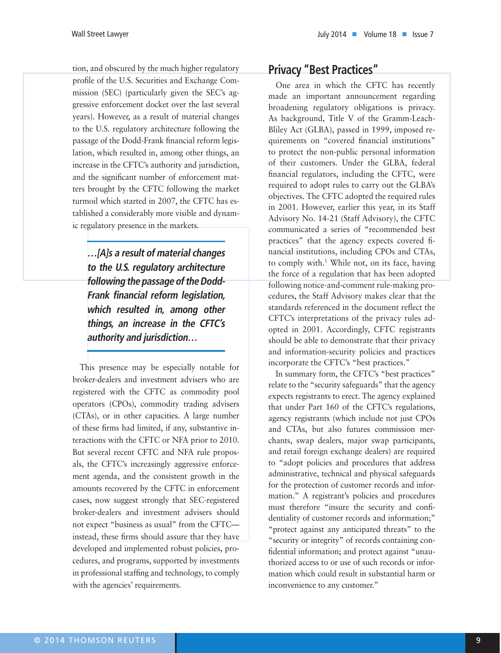tion, and obscured by the much higher regulatory profile of the U.S. Securities and Exchange Commission (SEC) (particularly given the SEC's aggressive enforcement docket over the last several years). However, as a result of material changes to the U.S. regulatory architecture following the passage of the Dodd-Frank financial reform legislation, which resulted in, among other things, an increase in the CFTC's authority and jurisdiction, and the significant number of enforcement matters brought by the CFTC following the market turmoil which started in 2007, the CFTC has established a considerably more visible and dynamic regulatory presence in the markets.

**…[A]s a result of material changes to the U.S. regulatory architecture following the passage of the Dodd-Frank financial reform legislation, which resulted in, among other things, an increase in the CFTC's authority and jurisdiction…**

This presence may be especially notable for broker-dealers and investment advisers who are registered with the CFTC as commodity pool operators (CPOs), commodity trading advisers (CTAs), or in other capacities. A large number of these firms had limited, if any, substantive interactions with the CFTC or NFA prior to 2010. But several recent CFTC and NFA rule proposals, the CFTC's increasingly aggressive enforcement agenda, and the consistent growth in the amounts recovered by the CFTC in enforcement cases, now suggest strongly that SEC-registered broker-dealers and investment advisers should not expect "business as usual" from the CFTC instead, these firms should assure that they have developed and implemented robust policies, procedures, and programs, supported by investments in professional staffing and technology, to comply with the agencies' requirements.

# **Privacy "Best Practices"**

One area in which the CFTC has recently made an important announcement regarding broadening regulatory obligations is privacy. As background, Title V of the Gramm-Leach-Bliley Act (GLBA), passed in 1999, imposed requirements on "covered financial institutions" to protect the non-public personal information of their customers. Under the GLBA, federal financial regulators, including the CFTC, were required to adopt rules to carry out the GLBA's objectives. The CFTC adopted the required rules in 2001. However, earlier this year, in its Staff Advisory No. 14-21 (Staff Advisory), the CFTC communicated a series of "recommended best practices" that the agency expects covered financial institutions, including CPOs and CTAs, to comply with.<sup>1</sup> While not, on its face, having the force of a regulation that has been adopted following notice-and-comment rule-making procedures, the Staff Advisory makes clear that the standards referenced in the document reflect the CFTC's interpretations of the privacy rules adopted in 2001. Accordingly, CFTC registrants should be able to demonstrate that their privacy and information-security policies and practices incorporate the CFTC's "best practices."

In summary form, the CFTC's "best practices" relate to the "security safeguards" that the agency expects registrants to erect. The agency explained that under Part 160 of the CFTC's regulations, agency registrants (which include not just CPOs and CTAs, but also futures commission merchants, swap dealers, major swap participants, and retail foreign exchange dealers) are required to "adopt policies and procedures that address administrative, technical and physical safeguards for the protection of customer records and information." A registrant's policies and procedures must therefore "insure the security and confidentiality of customer records and information;" "protect against any anticipated threats" to the "security or integrity" of records containing confidential information; and protect against "unauthorized access to or use of such records or information which could result in substantial harm or inconvenience to any customer."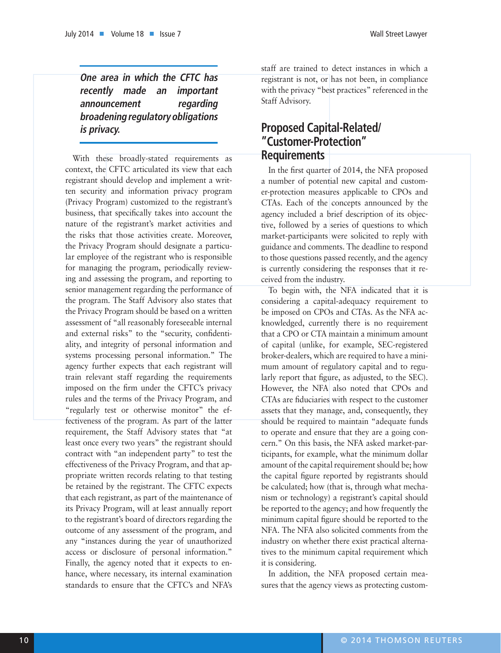**One area in which the CFTC has recently made an important announcement regarding broadening regulatory obligations is privacy.**

With these broadly-stated requirements as context, the CFTC articulated its view that each registrant should develop and implement a written security and information privacy program (Privacy Program) customized to the registrant's business, that specifically takes into account the nature of the registrant's market activities and the risks that those activities create. Moreover, the Privacy Program should designate a particular employee of the registrant who is responsible for managing the program, periodically reviewing and assessing the program, and reporting to senior management regarding the performance of the program. The Staff Advisory also states that the Privacy Program should be based on a written assessment of "all reasonably foreseeable internal and external risks" to the "security, confidentiality, and integrity of personal information and systems processing personal information." The agency further expects that each registrant will train relevant staff regarding the requirements imposed on the firm under the CFTC's privacy rules and the terms of the Privacy Program, and "regularly test or otherwise monitor" the effectiveness of the program. As part of the latter requirement, the Staff Advisory states that "at least once every two years" the registrant should contract with "an independent party" to test the effectiveness of the Privacy Program, and that appropriate written records relating to that testing be retained by the registrant. The CFTC expects that each registrant, as part of the maintenance of its Privacy Program, will at least annually report to the registrant's board of directors regarding the outcome of any assessment of the program, and any "instances during the year of unauthorized access or disclosure of personal information." Finally, the agency noted that it expects to enhance, where necessary, its internal examination standards to ensure that the CFTC's and NFA's

staff are trained to detect instances in which a registrant is not, or has not been, in compliance with the privacy "best practices" referenced in the Staff Advisory.

## **Proposed Capital-Related/ "Customer-Protection" Requirements**

In the first quarter of 2014, the NFA proposed a number of potential new capital and customer-protection measures applicable to CPOs and CTAs. Each of the concepts announced by the agency included a brief description of its objective, followed by a series of questions to which market-participants were solicited to reply with guidance and comments. The deadline to respond to those questions passed recently, and the agency is currently considering the responses that it received from the industry.

To begin with, the NFA indicated that it is considering a capital-adequacy requirement to be imposed on CPOs and CTAs. As the NFA acknowledged, currently there is no requirement that a CPO or CTA maintain a minimum amount of capital (unlike, for example, SEC-registered broker-dealers, which are required to have a minimum amount of regulatory capital and to regularly report that figure, as adjusted, to the SEC). However, the NFA also noted that CPOs and CTAs are fiduciaries with respect to the customer assets that they manage, and, consequently, they should be required to maintain "adequate funds to operate and ensure that they are a going concern." On this basis, the NFA asked market-participants, for example, what the minimum dollar amount of the capital requirement should be; how the capital figure reported by registrants should be calculated; how (that is, through what mechanism or technology) a registrant's capital should be reported to the agency; and how frequently the minimum capital figure should be reported to the NFA. The NFA also solicited comments from the industry on whether there exist practical alternatives to the minimum capital requirement which it is considering.

In addition, the NFA proposed certain measures that the agency views as protecting custom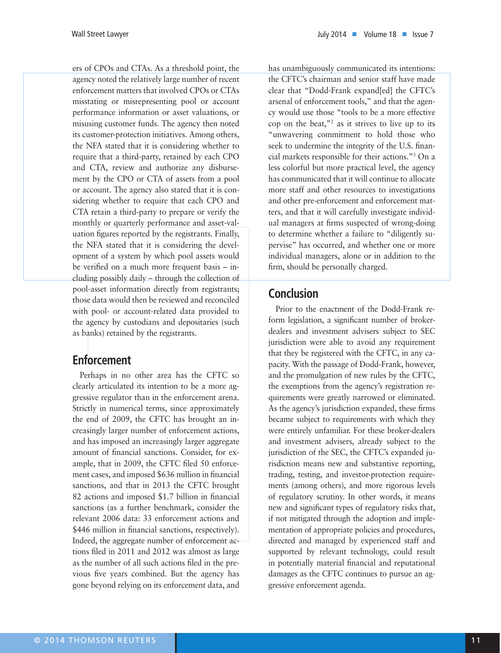ers of CPOs and CTAs. As a threshold point, the agency noted the relatively large number of recent enforcement matters that involved CPOs or CTAs misstating or misrepresenting pool or account performance information or asset valuations, or misusing customer funds. The agency then noted its customer-protection initiatives. Among others, the NFA stated that it is considering whether to require that a third-party, retained by each CPO and CTA, review and authorize any disbursement by the CPO or CTA of assets from a pool or account. The agency also stated that it is considering whether to require that each CPO and CTA retain a third-party to prepare or verify the monthly or quarterly performance and asset-valuation figures reported by the registrants. Finally, the NFA stated that it is considering the development of a system by which pool assets would be verified on a much more frequent basis – including possibly daily – through the collection of pool-asset information directly from registrants; those data would then be reviewed and reconciled with pool- or account-related data provided to the agency by custodians and depositaries (such as banks) retained by the registrants.

# **Enforcement**

Perhaps in no other area has the CFTC so clearly articulated its intention to be a more aggressive regulator than in the enforcement arena. Strictly in numerical terms, since approximately the end of 2009, the CFTC has brought an increasingly larger number of enforcement actions, and has imposed an increasingly larger aggregate amount of financial sanctions. Consider, for example, that in 2009, the CFTC filed 50 enforcement cases, and imposed \$636 million in financial sanctions, and that in 2013 the CFTC brought 82 actions and imposed \$1.7 billion in financial sanctions (as a further benchmark, consider the relevant 2006 data: 33 enforcement actions and \$446 million in financial sanctions, respectively). Indeed, the aggregate number of enforcement actions filed in 2011 and 2012 was almost as large as the number of all such actions filed in the previous five years combined. But the agency has gone beyond relying on its enforcement data, and

has unambiguously communicated its intentions: the CFTC's chairman and senior staff have made clear that "Dodd-Frank expand[ed] the CFTC's arsenal of enforcement tools," and that the agency would use those "tools to be a more effective cop on the beat,"<sup>2</sup> as it strives to live up to its "unwavering commitment to hold those who seek to undermine the integrity of the U.S. financial markets responsible for their actions."3 On a less colorful but more practical level, the agency has communicated that it will continue to allocate more staff and other resources to investigations and other pre-enforcement and enforcement matters, and that it will carefully investigate individual managers at firms suspected of wrong-doing to determine whether a failure to "diligently supervise" has occurred, and whether one or more individual managers, alone or in addition to the firm, should be personally charged.

# **Conclusion**

Prior to the enactment of the Dodd-Frank reform legislation, a significant number of brokerdealers and investment advisers subject to SEC jurisdiction were able to avoid any requirement that they be registered with the CFTC, in any capacity. With the passage of Dodd-Frank, however, and the promulgation of new rules by the CFTC, the exemptions from the agency's registration requirements were greatly narrowed or eliminated. As the agency's jurisdiction expanded, these firms became subject to requirements with which they were entirely unfamiliar. For these broker-dealers and investment advisers, already subject to the jurisdiction of the SEC, the CFTC's expanded jurisdiction means new and substantive reporting, trading, testing, and investor-protection requirements (among others), and more rigorous levels of regulatory scrutiny. In other words, it means new and significant types of regulatory risks that, if not mitigated through the adoption and implementation of appropriate policies and procedures, directed and managed by experienced staff and supported by relevant technology, could result in potentially material financial and reputational damages as the CFTC continues to pursue an aggressive enforcement agenda.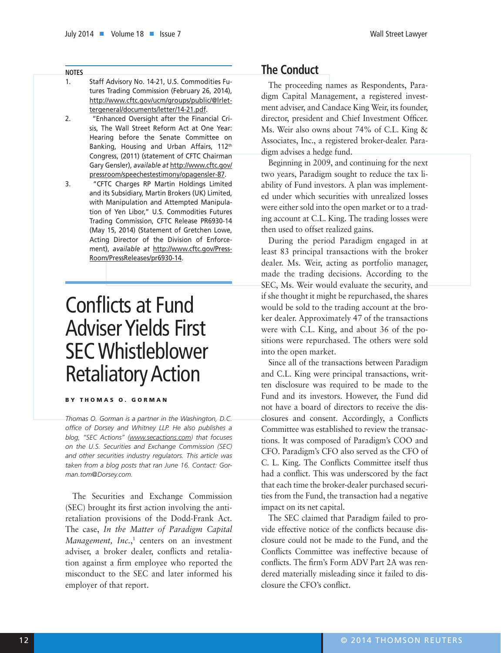#### **NOTES**

- 1. Staff Advisory No. 14-21, U.S. Commodities Futures Trading Commission (February 26, 2014), http://www.cftc.gov/ucm/groups/public/@lrlettergeneral/documents/letter/14-21.pdf.
- 2. "Enhanced Oversight after the Financial Crisis, The Wall Street Reform Act at One Year: Hearing before the Senate Committee on Banking, Housing and Urban Affairs, 112<sup>th</sup> Congress, (2011) (statement of CFTC Chairman Gary Gensler), *available at* http://www.cftc.gov/ pressroom/speechestestimony/opagensler-87.
- 3. "CFTC Charges RP Martin Holdings Limited and its Subsidiary, Martin Brokers (UK) Limited, with Manipulation and Attempted Manipulation of Yen Libor," U.S. Commodities Futures Trading Commission, CFTC Release PR6930-14 (May 15, 2014) (Statement of Gretchen Lowe, Acting Director of the Division of Enforcement), *available at* http://www.cftc.gov/Press-Room/PressReleases/pr6930-14.

# Conflicts at Fund Adviser Yields First SEC Whistleblower Retaliatory Action

#### BY THOMAS O. GORMAN

*Thomas O. Gorman is a partner in the Washington, D.C. office of Dorsey and Whitney LLP. He also publishes a blog, "SEC Actions" (www.secactions.com) that focuses on the U.S. Securities and Exchange Commission (SEC) and other securities industry regulators. This article was taken from a blog posts that ran June 16. Contact: Gorman.tom@Dorsey.com.*

The Securities and Exchange Commission (SEC) brought its first action involving the antiretaliation provisions of the Dodd-Frank Act. The case, *In the Matter of Paradigm Capital*  Management, Inc.,<sup>1</sup> centers on an investment adviser, a broker dealer, conflicts and retaliation against a firm employee who reported the misconduct to the SEC and later informed his employer of that report.

# **The Conduct**

The proceeding names as Respondents, Paradigm Capital Management, a registered investment adviser, and Candace King Weir, its founder, director, president and Chief Investment Officer. Ms. Weir also owns about 74% of C.L. King & Associates, Inc., a registered broker-dealer. Paradigm advises a hedge fund.

Beginning in 2009, and continuing for the next two years, Paradigm sought to reduce the tax liability of Fund investors. A plan was implemented under which securities with unrealized losses were either sold into the open market or to a trading account at C.L. King. The trading losses were then used to offset realized gains.

During the period Paradigm engaged in at least 83 principal transactions with the broker dealer. Ms. Weir, acting as portfolio manager, made the trading decisions. According to the SEC, Ms. Weir would evaluate the security, and if she thought it might be repurchased, the shares would be sold to the trading account at the broker dealer. Approximately 47 of the transactions were with C.L. King, and about 36 of the positions were repurchased. The others were sold into the open market.

Since all of the transactions between Paradigm and C.L. King were principal transactions, written disclosure was required to be made to the Fund and its investors. However, the Fund did not have a board of directors to receive the disclosures and consent. Accordingly, a Conflicts Committee was established to review the transactions. It was composed of Paradigm's COO and CFO. Paradigm's CFO also served as the CFO of C. L. King. The Conflicts Committee itself thus had a conflict. This was underscored by the fact that each time the broker-dealer purchased securities from the Fund, the transaction had a negative impact on its net capital.

The SEC claimed that Paradigm failed to provide effective notice of the conflicts because disclosure could not be made to the Fund, and the Conflicts Committee was ineffective because of conflicts. The firm's Form ADV Part 2A was rendered materially misleading since it failed to disclosure the CFO's conflict.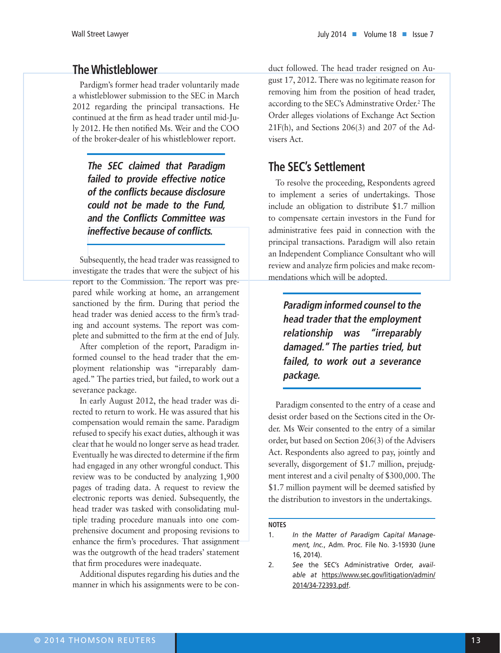## **The Whistleblower**

Pardigm's former head trader voluntarily made a whistleblower submission to the SEC in March 2012 regarding the principal transactions. He continued at the firm as head trader until mid-July 2012. He then notified Ms. Weir and the COO of the broker-dealer of his whistleblower report.

**The SEC claimed that Paradigm failed to provide effective notice of the conflicts because disclosure could not be made to the Fund, and the Conflicts Committee was ineffective because of conflicts.**

Subsequently, the head trader was reassigned to investigate the trades that were the subject of his report to the Commission. The report was prepared while working at home, an arrangement sanctioned by the firm. During that period the head trader was denied access to the firm's trading and account systems. The report was complete and submitted to the firm at the end of July.

After completion of the report, Paradigm informed counsel to the head trader that the employment relationship was "irreparably damaged." The parties tried, but failed, to work out a severance package.

In early August 2012, the head trader was directed to return to work. He was assured that his compensation would remain the same. Paradigm refused to specify his exact duties, although it was clear that he would no longer serve as head trader. Eventually he was directed to determine if the firm had engaged in any other wrongful conduct. This review was to be conducted by analyzing 1,900 pages of trading data. A request to review the electronic reports was denied. Subsequently, the head trader was tasked with consolidating multiple trading procedure manuals into one comprehensive document and proposing revisions to enhance the firm's procedures. That assignment was the outgrowth of the head traders' statement that firm procedures were inadequate.

Additional disputes regarding his duties and the manner in which his assignments were to be conduct followed. The head trader resigned on August 17, 2012. There was no legitimate reason for removing him from the position of head trader, according to the SEC's Adminstrative Order.<sup>2</sup> The Order alleges violations of Exchange Act Section 21F(h), and Sections 206(3) and 207 of the Advisers Act.

# **The SEC's Settlement**

To resolve the proceeding, Respondents agreed to implement a series of undertakings. Those include an obligation to distribute \$1.7 million to compensate certain investors in the Fund for administrative fees paid in connection with the principal transactions. Paradigm will also retain an Independent Compliance Consultant who will review and analyze firm policies and make recommendations which will be adopted.

**Paradigm informed counsel to the head trader that the employment relationship was "irreparably damaged." The parties tried, but failed, to work out a severance package.**

Paradigm consented to the entry of a cease and desist order based on the Sections cited in the Order. Ms Weir consented to the entry of a similar order, but based on Section 206(3) of the Advisers Act. Respondents also agreed to pay, jointly and severally, disgorgement of \$1.7 million, prejudgment interest and a civil penalty of \$300,000. The \$1.7 million payment will be deemed satisfied by the distribution to investors in the undertakings.

#### **NOTES**

<sup>1.</sup> *In the Matter of Paradigm Capital Management, Inc.*, Adm. Proc. File No. 3-15930 (June 16, 2014).

<sup>2.</sup> *See* the SEC's Administrative Order, *available at* https://www.sec.gov/litigation/admin/ 2014/34-72393.pdf.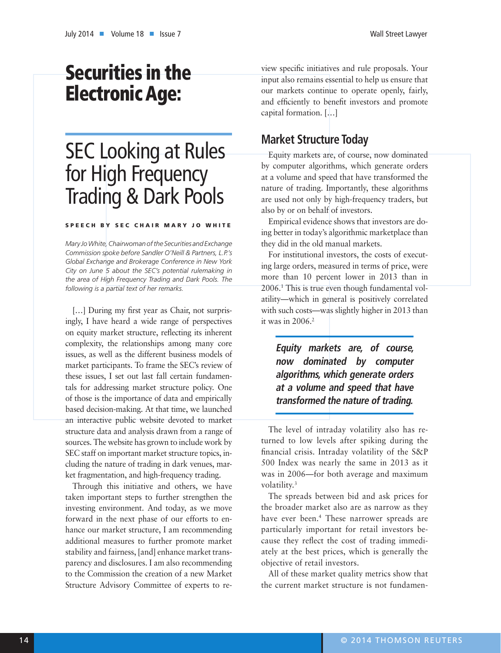# Securities in the Electronic Age:

# SEC Looking at Rules for High Frequency Trading & Dark Pools

#### SPEECH BY SEC CHAIR MARY JO WHITE

*Mary Jo White, Chairwoman of the Securities and Exchange Commission spoke before Sandler O'Neill & Partners, L.P.'s Global Exchange and Brokerage Conference in New York City on June 5 about the SEC's potential rulemaking in the area of High Frequency Trading and Dark Pools. The following is a partial text of her remarks.*

[...] During my first year as Chair, not surprisingly, I have heard a wide range of perspectives on equity market structure, reflecting its inherent complexity, the relationships among many core issues, as well as the different business models of market participants. To frame the SEC's review of these issues, I set out last fall certain fundamentals for addressing market structure policy. One of those is the importance of data and empirically based decision-making. At that time, we launched an interactive public website devoted to market structure data and analysis drawn from a range of sources. The website has grown to include work by SEC staff on important market structure topics, including the nature of trading in dark venues, market fragmentation, and high-frequency trading.

Through this initiative and others, we have taken important steps to further strengthen the investing environment. And today, as we move forward in the next phase of our efforts to enhance our market structure, I am recommending additional measures to further promote market stability and fairness, [and] enhance market transparency and disclosures. I am also recommending to the Commission the creation of a new Market Structure Advisory Committee of experts to review specific initiatives and rule proposals. Your input also remains essential to help us ensure that our markets continue to operate openly, fairly, and efficiently to benefit investors and promote capital formation. […]

# **Market Structure Today**

Equity markets are, of course, now dominated by computer algorithms, which generate orders at a volume and speed that have transformed the nature of trading. Importantly, these algorithms are used not only by high-frequency traders, but also by or on behalf of investors.

Empirical evidence shows that investors are doing better in today's algorithmic marketplace than they did in the old manual markets.

For institutional investors, the costs of executing large orders, measured in terms of price, were more than 10 percent lower in 2013 than in 2006.1 This is true even though fundamental volatility—which in general is positively correlated with such costs—was slightly higher in 2013 than it was in  $2006.<sup>2</sup>$ 

**Equity markets are, of course, now dominated by computer algorithms, which generate orders at a volume and speed that have transformed the nature of trading.**

The level of intraday volatility also has returned to low levels after spiking during the financial crisis. Intraday volatility of the S&P 500 Index was nearly the same in 2013 as it was in 2006—for both average and maximum volatility.<sup>3</sup>

The spreads between bid and ask prices for the broader market also are as narrow as they have ever been.4 These narrower spreads are particularly important for retail investors because they reflect the cost of trading immediately at the best prices, which is generally the objective of retail investors.

All of these market quality metrics show that the current market structure is not fundamen-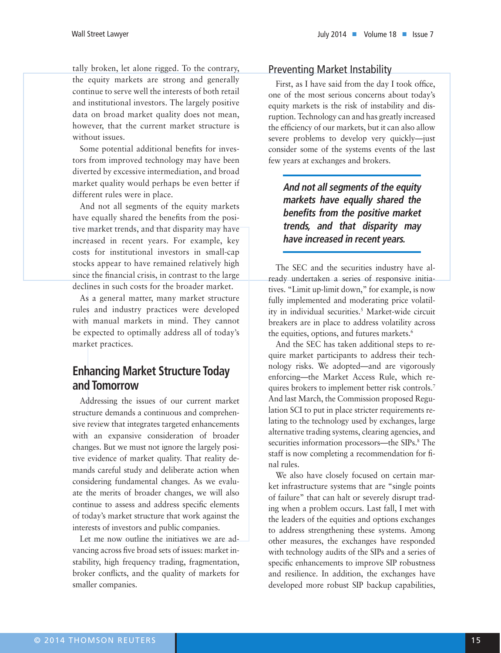tally broken, let alone rigged. To the contrary, the equity markets are strong and generally continue to serve well the interests of both retail and institutional investors. The largely positive data on broad market quality does not mean, however, that the current market structure is without issues.

Some potential additional benefits for investors from improved technology may have been diverted by excessive intermediation, and broad market quality would perhaps be even better if different rules were in place.

And not all segments of the equity markets have equally shared the benefits from the positive market trends, and that disparity may have increased in recent years. For example, key costs for institutional investors in small-cap stocks appear to have remained relatively high since the financial crisis, in contrast to the large declines in such costs for the broader market.

As a general matter, many market structure rules and industry practices were developed with manual markets in mind. They cannot be expected to optimally address all of today's market practices.

# **Enhancing Market Structure Today and Tomorrow**

Addressing the issues of our current market structure demands a continuous and comprehensive review that integrates targeted enhancements with an expansive consideration of broader changes. But we must not ignore the largely positive evidence of market quality. That reality demands careful study and deliberate action when considering fundamental changes. As we evaluate the merits of broader changes, we will also continue to assess and address specific elements of today's market structure that work against the interests of investors and public companies.

Let me now outline the initiatives we are advancing across five broad sets of issues: market instability, high frequency trading, fragmentation, broker conflicts, and the quality of markets for smaller companies.

#### Preventing Market Instability

First, as I have said from the day I took office, one of the most serious concerns about today's equity markets is the risk of instability and disruption. Technology can and has greatly increased the efficiency of our markets, but it can also allow severe problems to develop very quickly—just consider some of the systems events of the last few years at exchanges and brokers.

**And not all segments of the equity markets have equally shared the benefits from the positive market trends, and that disparity may have increased in recent years.**

The SEC and the securities industry have already undertaken a series of responsive initiatives. "Limit up-limit down," for example, is now fully implemented and moderating price volatility in individual securities.<sup>5</sup> Market-wide circuit breakers are in place to address volatility across the equities, options, and futures markets.<sup>6</sup>

And the SEC has taken additional steps to require market participants to address their technology risks. We adopted—and are vigorously enforcing—the Market Access Rule, which requires brokers to implement better risk controls.7 And last March, the Commission proposed Regulation SCI to put in place stricter requirements relating to the technology used by exchanges, large alternative trading systems, clearing agencies, and securities information processors—the SIPs.<sup>8</sup> The staff is now completing a recommendation for final rules.

We also have closely focused on certain market infrastructure systems that are "single points of failure" that can halt or severely disrupt trading when a problem occurs. Last fall, I met with the leaders of the equities and options exchanges to address strengthening these systems. Among other measures, the exchanges have responded with technology audits of the SIPs and a series of specific enhancements to improve SIP robustness and resilience. In addition, the exchanges have developed more robust SIP backup capabilities,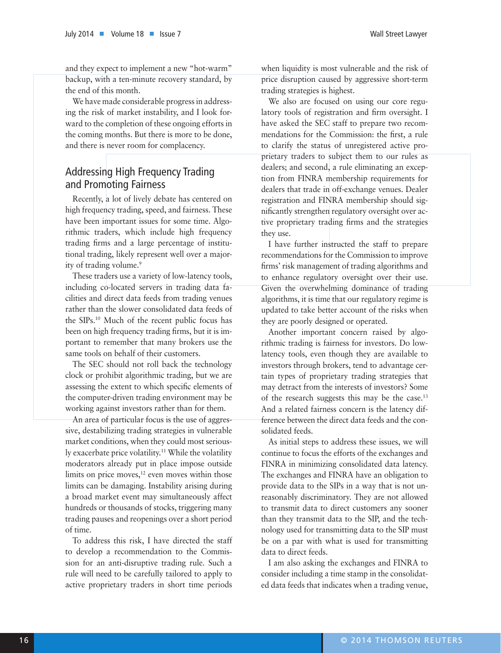and they expect to implement a new "hot-warm" backup, with a ten-minute recovery standard, by the end of this month.

We have made considerable progress in addressing the risk of market instability, and I look forward to the completion of these ongoing efforts in the coming months. But there is more to be done, and there is never room for complacency.

## Addressing High Frequency Trading and Promoting Fairness

Recently, a lot of lively debate has centered on high frequency trading, speed, and fairness. These have been important issues for some time. Algorithmic traders, which include high frequency trading firms and a large percentage of institutional trading, likely represent well over a majority of trading volume.<sup>9</sup>

These traders use a variety of low-latency tools, including co-located servers in trading data facilities and direct data feeds from trading venues rather than the slower consolidated data feeds of the SIPs.10 Much of the recent public focus has been on high frequency trading firms, but it is important to remember that many brokers use the same tools on behalf of their customers.

The SEC should not roll back the technology clock or prohibit algorithmic trading, but we are assessing the extent to which specific elements of the computer-driven trading environment may be working against investors rather than for them.

An area of particular focus is the use of aggressive, destabilizing trading strategies in vulnerable market conditions, when they could most seriously exacerbate price volatility.11 While the volatility moderators already put in place impose outside limits on price moves, $12$  even moves within those limits can be damaging. Instability arising during a broad market event may simultaneously affect hundreds or thousands of stocks, triggering many trading pauses and reopenings over a short period of time.

To address this risk, I have directed the staff to develop a recommendation to the Commission for an anti-disruptive trading rule. Such a rule will need to be carefully tailored to apply to active proprietary traders in short time periods

when liquidity is most vulnerable and the risk of price disruption caused by aggressive short-term trading strategies is highest.

We also are focused on using our core regulatory tools of registration and firm oversight. I have asked the SEC staff to prepare two recommendations for the Commission: the first, a rule to clarify the status of unregistered active proprietary traders to subject them to our rules as dealers; and second, a rule eliminating an exception from FINRA membership requirements for dealers that trade in off-exchange venues. Dealer registration and FINRA membership should significantly strengthen regulatory oversight over active proprietary trading firms and the strategies they use.

I have further instructed the staff to prepare recommendations for the Commission to improve firms' risk management of trading algorithms and to enhance regulatory oversight over their use. Given the overwhelming dominance of trading algorithms, it is time that our regulatory regime is updated to take better account of the risks when they are poorly designed or operated.

Another important concern raised by algorithmic trading is fairness for investors. Do lowlatency tools, even though they are available to investors through brokers, tend to advantage certain types of proprietary trading strategies that may detract from the interests of investors? Some of the research suggests this may be the case.13 And a related fairness concern is the latency difference between the direct data feeds and the consolidated feeds.

As initial steps to address these issues, we will continue to focus the efforts of the exchanges and FINRA in minimizing consolidated data latency. The exchanges and FINRA have an obligation to provide data to the SIPs in a way that is not unreasonably discriminatory. They are not allowed to transmit data to direct customers any sooner than they transmit data to the SIP, and the technology used for transmitting data to the SIP must be on a par with what is used for transmitting data to direct feeds.

I am also asking the exchanges and FINRA to consider including a time stamp in the consolidated data feeds that indicates when a trading venue,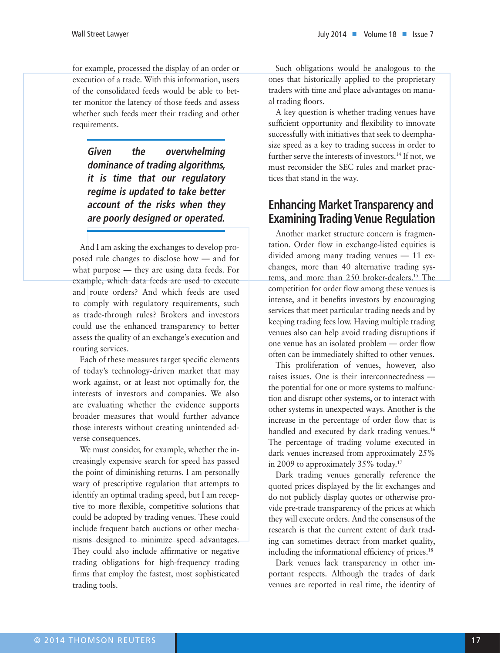for example, processed the display of an order or execution of a trade. With this information, users of the consolidated feeds would be able to better monitor the latency of those feeds and assess whether such feeds meet their trading and other requirements.

**Given the overwhelming dominance of trading algorithms, it is time that our regulatory regime is updated to take better account of the risks when they are poorly designed or operated.**

And I am asking the exchanges to develop proposed rule changes to disclose how — and for what purpose — they are using data feeds. For example, which data feeds are used to execute and route orders? And which feeds are used to comply with regulatory requirements, such as trade-through rules? Brokers and investors could use the enhanced transparency to better assess the quality of an exchange's execution and routing services.

Each of these measures target specific elements of today's technology-driven market that may work against, or at least not optimally for, the interests of investors and companies. We also are evaluating whether the evidence supports broader measures that would further advance those interests without creating unintended adverse consequences.

We must consider, for example, whether the increasingly expensive search for speed has passed the point of diminishing returns. I am personally wary of prescriptive regulation that attempts to identify an optimal trading speed, but I am receptive to more flexible, competitive solutions that could be adopted by trading venues. These could include frequent batch auctions or other mechanisms designed to minimize speed advantages. They could also include affirmative or negative trading obligations for high-frequency trading firms that employ the fastest, most sophisticated trading tools.

Such obligations would be analogous to the ones that historically applied to the proprietary traders with time and place advantages on manual trading floors.

A key question is whether trading venues have sufficient opportunity and flexibility to innovate successfully with initiatives that seek to deemphasize speed as a key to trading success in order to further serve the interests of investors.<sup>14</sup> If not, we must reconsider the SEC rules and market practices that stand in the way.

# **Enhancing Market Transparency and Examining Trading Venue Regulation**

Another market structure concern is fragmentation. Order flow in exchange-listed equities is divided among many trading venues — 11 exchanges, more than 40 alternative trading systems, and more than 250 broker-dealers.<sup>15</sup> The competition for order flow among these venues is intense, and it benefits investors by encouraging services that meet particular trading needs and by keeping trading fees low. Having multiple trading venues also can help avoid trading disruptions if one venue has an isolated problem — order flow often can be immediately shifted to other venues.

This proliferation of venues, however, also raises issues. One is their interconnectedness the potential for one or more systems to malfunction and disrupt other systems, or to interact with other systems in unexpected ways. Another is the increase in the percentage of order flow that is handled and executed by dark trading venues.<sup>16</sup> The percentage of trading volume executed in dark venues increased from approximately 25% in 2009 to approximately 35% today.<sup>17</sup>

Dark trading venues generally reference the quoted prices displayed by the lit exchanges and do not publicly display quotes or otherwise provide pre-trade transparency of the prices at which they will execute orders. And the consensus of the research is that the current extent of dark trading can sometimes detract from market quality, including the informational efficiency of prices.<sup>18</sup>

Dark venues lack transparency in other important respects. Although the trades of dark venues are reported in real time, the identity of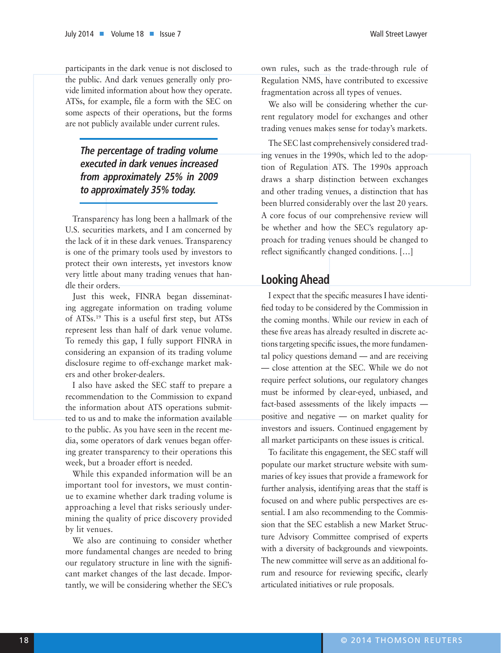participants in the dark venue is not disclosed to the public. And dark venues generally only provide limited information about how they operate. ATSs, for example, file a form with the SEC on some aspects of their operations, but the forms are not publicly available under current rules.

## **The percentage of trading volume executed in dark venues increased from approximately 25% in 2009 to approximately 35% today.**

Transparency has long been a hallmark of the U.S. securities markets, and I am concerned by the lack of it in these dark venues. Transparency is one of the primary tools used by investors to protect their own interests, yet investors know very little about many trading venues that handle their orders.

Just this week, FINRA began disseminating aggregate information on trading volume of ATSs.19 This is a useful first step, but ATSs represent less than half of dark venue volume. To remedy this gap, I fully support FINRA in considering an expansion of its trading volume disclosure regime to off-exchange market makers and other broker-dealers.

I also have asked the SEC staff to prepare a recommendation to the Commission to expand the information about ATS operations submitted to us and to make the information available to the public. As you have seen in the recent media, some operators of dark venues began offering greater transparency to their operations this week, but a broader effort is needed.

While this expanded information will be an important tool for investors, we must continue to examine whether dark trading volume is approaching a level that risks seriously undermining the quality of price discovery provided by lit venues.

We also are continuing to consider whether more fundamental changes are needed to bring our regulatory structure in line with the significant market changes of the last decade. Importantly, we will be considering whether the SEC's

own rules, such as the trade-through rule of Regulation NMS, have contributed to excessive fragmentation across all types of venues.

We also will be considering whether the current regulatory model for exchanges and other trading venues makes sense for today's markets.

The SEC last comprehensively considered trading venues in the 1990s, which led to the adoption of Regulation ATS. The 1990s approach draws a sharp distinction between exchanges and other trading venues, a distinction that has been blurred considerably over the last 20 years. A core focus of our comprehensive review will be whether and how the SEC's regulatory approach for trading venues should be changed to reflect significantly changed conditions. […]

## **Looking Ahead**

I expect that the specific measures I have identified today to be considered by the Commission in the coming months. While our review in each of these five areas has already resulted in discrete actions targeting specific issues, the more fundamental policy questions demand — and are receiving — close attention at the SEC. While we do not require perfect solutions, our regulatory changes must be informed by clear-eyed, unbiased, and fact-based assessments of the likely impacts positive and negative — on market quality for investors and issuers. Continued engagement by all market participants on these issues is critical.

To facilitate this engagement, the SEC staff will populate our market structure website with summaries of key issues that provide a framework for further analysis, identifying areas that the staff is focused on and where public perspectives are essential. I am also recommending to the Commission that the SEC establish a new Market Structure Advisory Committee comprised of experts with a diversity of backgrounds and viewpoints. The new committee will serve as an additional forum and resource for reviewing specific, clearly articulated initiatives or rule proposals.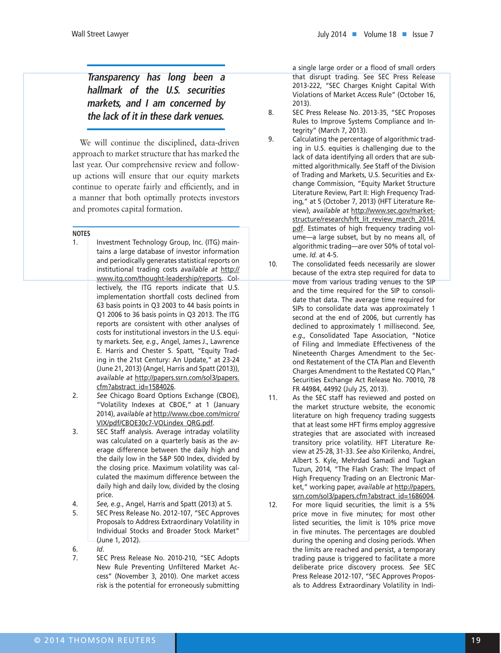# **Transparency has long been a hallmark of the U.S. securities markets, and I am concerned by the lack of it in these dark venues.**

We will continue the disciplined, data-driven approach to market structure that has marked the last year. Our comprehensive review and followup actions will ensure that our equity markets continue to operate fairly and efficiently, and in a manner that both optimally protects investors and promotes capital formation.

#### **NOTES**

- 1. Investment Technology Group, Inc. (ITG) maintains a large database of investor information and periodically generates statistical reports on institutional trading costs *available at* http:// www.itg.com/thought-leadership/reports. Collectively, the ITG reports indicate that U.S. implementation shortfall costs declined from 63 basis points in Q3 2003 to 44 basis points in Q1 2006 to 36 basis points in Q3 2013. The ITG reports are consistent with other analyses of costs for institutional investors in the U.S. equity markets. *See, e.g.,* Angel, James J., Lawrence E. Harris and Chester S. Spatt, "Equity Trading in the 21st Century: An Update," at 23-24 (June 21, 2013) (Angel, Harris and Spatt (2013)), *available at* http://papers.ssrn.com/sol3/papers. cfm?abstract\_id=1584026.
- 2. *See* Chicago Board Options Exchange (CBOE), "Volatility Indexes at CBOE," at 1 (January 2014), *available at* http://www.cboe.com/micro/ VIX/pdf/CBOE30c7-VOLindex\_QRG.pdf.
- 3. SEC Staff analysis. Average intraday volatility was calculated on a quarterly basis as the average difference between the daily high and the daily low in the S&P 500 Index, divided by the closing price. Maximum volatility was calculated the maximum difference between the daily high and daily low, divided by the closing price.
- 4. *See, e.g.*, Angel, Harris and Spatt (2013) at 5.
- 5. SEC Press Release No. 2012-107, "SEC Approves Proposals to Address Extraordinary Volatility in Individual Stocks and Broader Stock Market" (June 1, 2012).
- 6. *Id*.
- 7. SEC Press Release No. 2010-210, "SEC Adopts New Rule Preventing Unfiltered Market Access" (November 3, 2010). One market access risk is the potential for erroneously submitting

a single large order or a flood of small orders that disrupt trading. See SEC Press Release 2013-222, "SEC Charges Knight Capital With Violations of Market Access Rule" (October 16, 2013).

- 8. SEC Press Release No. 2013-35, "SEC Proposes Rules to Improve Systems Compliance and Integrity" (March 7, 2013).
- 9. Calculating the percentage of algorithmic trading in U.S. equities is challenging due to the lack of data identifying all orders that are submitted algorithmically. *See* Staff of the Division of Trading and Markets, U.S. Securities and Exchange Commission, "Equity Market Structure Literature Review, Part II: High Frequency Trading," at 5 (October 7, 2013) (HFT Literature Review), *available at* http://www.sec.gov/marketstructure/research/hft\_lit\_review\_march\_2014. pdf. Estimates of high frequency trading volume—a large subset, but by no means all, of algorithmic trading—are over 50% of total volume. *Id.* at 4-5.
- 10. The consolidated feeds necessarily are slower because of the extra step required for data to move from various trading venues to the SIP and the time required for the SIP to consolidate that data. The average time required for SIPs to consolidate data was approximately 1 second at the end of 2006, but currently has declined to approximately 1 millisecond. *See, e.g.,* Consolidated Tape Association, "Notice of Filing and Immediate Effectiveness of the Nineteenth Charges Amendment to the Second Restatement of the CTA Plan and Eleventh Charges Amendment to the Restated CQ Plan," Securities Exchange Act Release No. 70010, 78 FR 44984, 44992 (July 25, 2013).
- 11. As the SEC staff has reviewed and posted on the market structure website, the economic literature on high frequency trading suggests that at least some HFT firms employ aggressive strategies that are associated with increased transitory price volatility. HFT Literature Review at 25-28, 31-33. *See also* Kirilenko, Andrei, Albert S. Kyle, Mehrdad Samadi and Tugkan Tuzun, 2014, "The Flash Crash: The Impact of High Frequency Trading on an Electronic Market," working paper, *available at* http://papers. ssrn.com/sol3/papers.cfm?abstract\_id=1686004.
- 12. For more liquid securities, the limit is a 5% price move in five minutes; for most other listed securities, the limit is 10% price move in five minutes. The percentages are doubled during the opening and closing periods. When the limits are reached and persist, a temporary trading pause is triggered to facilitate a more deliberate price discovery process. *See* SEC Press Release 2012-107, "SEC Approves Proposals to Address Extraordinary Volatility in Indi-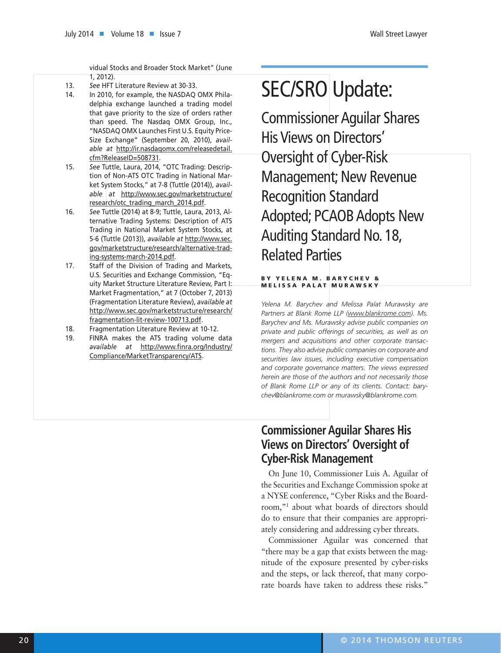vidual Stocks and Broader Stock Market" (June 1, 2012).

- 13. *See* HFT Literature Review at 30-33.
- 14. In 2010, for example, the NASDAQ OMX Philadelphia exchange launched a trading model that gave priority to the size of orders rather than speed. The Nasdaq OMX Group, Inc., "NASDAQ OMX Launches First U.S. Equity Price-Size Exchange" (September 20, 2010), *available at* http://ir.nasdaqomx.com/releasedetail. cfm?ReleaseID=508731.
- 15. *See* Tuttle, Laura, 2014, "OTC Trading: Description of Non-ATS OTC Trading in National Market System Stocks," at 7-8 (Tuttle (2014)), *available at* http://www.sec.gov/marketstructure/ research/otc\_trading\_march\_2014.pdf.
- 16. *See* Tuttle (2014) at 8-9; Tuttle, Laura, 2013, Alternative Trading Systems: Description of ATS Trading in National Market System Stocks, at 5-6 (Tuttle (2013)), *available at* http://www.sec. gov/marketstructure/research/alternative-trading-systems-march-2014.pdf.
- 17. Staff of the Division of Trading and Markets, U.S. Securities and Exchange Commission, "Equity Market Structure Literature Review, Part I: Market Fragmentation," at 7 (October 7, 2013) (Fragmentation Literature Review), *available at* http://www.sec.gov/marketstructure/research/ fragmentation-lit-review-100713.pdf.
- 18. Fragmentation Literature Review at 10-12.
- 19. FINRA makes the ATS trading volume data *available at* http://www.finra.org/Industry/ Compliance/MarketTransparency/ATS.

# SEC/SRO Update:

Commissioner Aguilar Shares His Views on Directors' Oversight of Cyber-Risk Management; New Revenue Recognition Standard Adopted; PCAOB Adopts New Auditing Standard No. 18, Related Parties

#### BY YELENA M. BARYCHEV & MELISSA PALAT MURAWSKY

*Yelena M. Barychev and Melissa Palat Murawsky are Partners at Blank Rome LLP (www.blankrome.com). Ms. Barychev and Ms. Murawsky advise public companies on private and public offerings of securities, as well as on mergers and acquisitions and other corporate transactions. They also advise public companies on corporate and securities law issues, including executive compensation and corporate governance matters. The views expressed herein are those of the authors and not necessarily those of Blank Rome LLP or any of its clients. Contact: barychev@blankrome.com or murawsky@blankrome.com.*

# **Commissioner Aguilar Shares His Views on Directors' Oversight of Cyber-Risk Management**

On June 10, Commissioner Luis A. Aguilar of the Securities and Exchange Commission spoke at a NYSE conference, "Cyber Risks and the Boardroom,"1 about what boards of directors should do to ensure that their companies are appropriately considering and addressing cyber threats.

Commissioner Aguilar was concerned that "there may be a gap that exists between the magnitude of the exposure presented by cyber-risks and the steps, or lack thereof, that many corporate boards have taken to address these risks."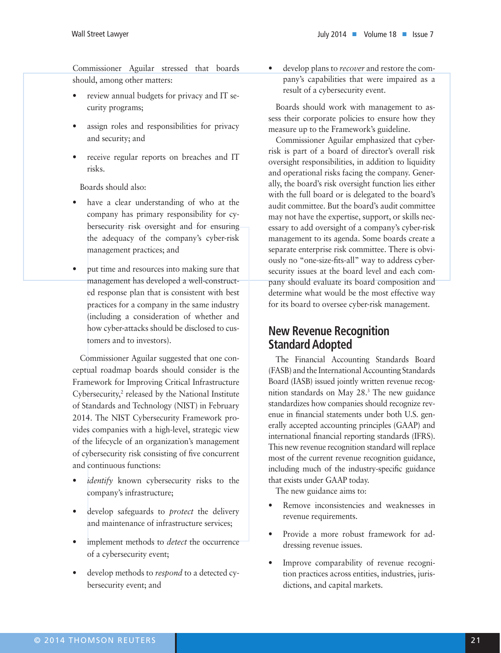Commissioner Aguilar stressed that boards should, among other matters:

- review annual budgets for privacy and IT security programs;
- assign roles and responsibilities for privacy and security; and
- receive regular reports on breaches and IT risks.

Boards should also:

- have a clear understanding of who at the company has primary responsibility for cybersecurity risk oversight and for ensuring the adequacy of the company's cyber-risk management practices; and
- put time and resources into making sure that management has developed a well-constructed response plan that is consistent with best practices for a company in the same industry (including a consideration of whether and how cyber-attacks should be disclosed to customers and to investors).

Commissioner Aguilar suggested that one conceptual roadmap boards should consider is the Framework for Improving Critical Infrastructure Cybersecurity,<sup>2</sup> released by the National Institute of Standards and Technology (NIST) in February 2014. The NIST Cybersecurity Framework provides companies with a high-level, strategic view of the lifecycle of an organization's management of cybersecurity risk consisting of five concurrent and continuous functions:

- *identify* known cybersecurity risks to the company's infrastructure;
- develop safeguards to *protect* the delivery and maintenance of infrastructure services;
- implement methods to *detect* the occurrence of a cybersecurity event;
- develop methods to *respond* to a detected cybersecurity event; and

• develop plans to *recover* and restore the company's capabilities that were impaired as a result of a cybersecurity event.

Boards should work with management to assess their corporate policies to ensure how they measure up to the Framework's guideline.

Commissioner Aguilar emphasized that cyberrisk is part of a board of director's overall risk oversight responsibilities, in addition to liquidity and operational risks facing the company. Generally, the board's risk oversight function lies either with the full board or is delegated to the board's audit committee. But the board's audit committee may not have the expertise, support, or skills necessary to add oversight of a company's cyber-risk management to its agenda. Some boards create a separate enterprise risk committee. There is obviously no "one-size-fits-all" way to address cybersecurity issues at the board level and each company should evaluate its board composition and determine what would be the most effective way for its board to oversee cyber-risk management.

# **New Revenue Recognition Standard Adopted**

The Financial Accounting Standards Board (FASB) and the International Accounting Standards Board (IASB) issued jointly written revenue recognition standards on May 28.3 The new guidance standardizes how companies should recognize revenue in financial statements under both U.S. generally accepted accounting principles (GAAP) and international financial reporting standards (IFRS). This new revenue recognition standard will replace most of the current revenue recognition guidance, including much of the industry-specific guidance that exists under GAAP today.

The new guidance aims to:

- Remove inconsistencies and weaknesses in revenue requirements.
- Provide a more robust framework for addressing revenue issues.
- Improve comparability of revenue recognition practices across entities, industries, jurisdictions, and capital markets.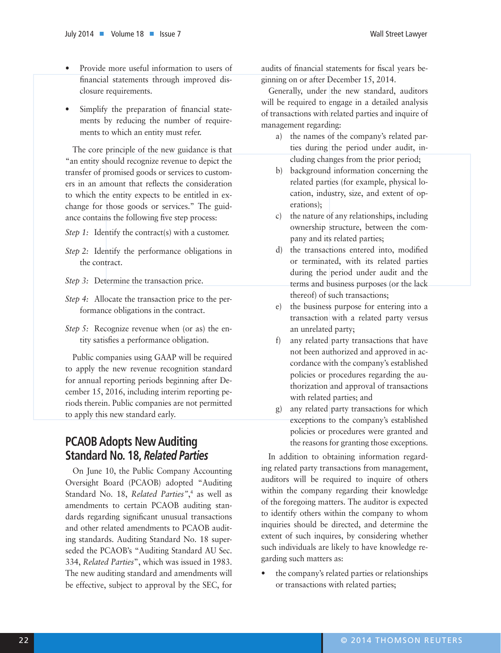- Provide more useful information to users of financial statements through improved disclosure requirements.
- Simplify the preparation of financial statements by reducing the number of requirements to which an entity must refer.

The core principle of the new guidance is that "an entity should recognize revenue to depict the transfer of promised goods or services to customers in an amount that reflects the consideration to which the entity expects to be entitled in exchange for those goods or services." The guidance contains the following five step process:

- *Step 1:* Identify the contract(s) with a customer.
- *Step 2:* Identify the performance obligations in the contract.
- *Step 3:* Determine the transaction price.
- *Step 4:* Allocate the transaction price to the performance obligations in the contract.
- *Step 5:* Recognize revenue when (or as) the entity satisfies a performance obligation.

Public companies using GAAP will be required to apply the new revenue recognition standard for annual reporting periods beginning after December 15, 2016, including interim reporting periods therein. Public companies are not permitted to apply this new standard early.

# **PCAOB Adopts New Auditing Standard No. 18,** *Related Parties*

On June 10, the Public Company Accounting Oversight Board (PCAOB) adopted "Auditing Standard No. 18, *Related Parties"*, 4 as well as amendments to certain PCAOB auditing standards regarding significant unusual transactions and other related amendments to PCAOB auditing standards. Auditing Standard No. 18 superseded the PCAOB's "Auditing Standard AU Sec. 334, *Related Parties*", which was issued in 1983. The new auditing standard and amendments will be effective, subject to approval by the SEC, for

audits of financial statements for fiscal years beginning on or after December 15, 2014.

Generally, under the new standard, auditors will be required to engage in a detailed analysis of transactions with related parties and inquire of management regarding:

- a) the names of the company's related parties during the period under audit, including changes from the prior period;
- b) background information concerning the related parties (for example, physical location, industry, size, and extent of operations);
- c) the nature of any relationships, including ownership structure, between the company and its related parties;
- d) the transactions entered into, modified or terminated, with its related parties during the period under audit and the terms and business purposes (or the lack thereof) of such transactions;
- e) the business purpose for entering into a transaction with a related party versus an unrelated party;
- f) any related party transactions that have not been authorized and approved in accordance with the company's established policies or procedures regarding the authorization and approval of transactions with related parties; and
- g) any related party transactions for which exceptions to the company's established policies or procedures were granted and the reasons for granting those exceptions.

In addition to obtaining information regarding related party transactions from management, auditors will be required to inquire of others within the company regarding their knowledge of the foregoing matters. The auditor is expected to identify others within the company to whom inquiries should be directed, and determine the extent of such inquires, by considering whether such individuals are likely to have knowledge regarding such matters as:

• the company's related parties or relationships or transactions with related parties;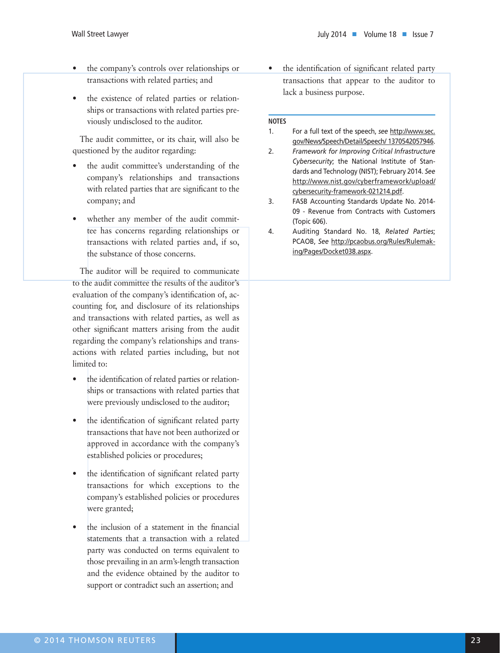- the company's controls over relationships or transactions with related parties; and
- the existence of related parties or relationships or transactions with related parties previously undisclosed to the auditor.

The audit committee, or its chair, will also be questioned by the auditor regarding:

- the audit committee's understanding of the company's relationships and transactions with related parties that are significant to the company; and
- whether any member of the audit committee has concerns regarding relationships or transactions with related parties and, if so, the substance of those concerns.

The auditor will be required to communicate to the audit committee the results of the auditor's evaluation of the company's identification of, accounting for, and disclosure of its relationships and transactions with related parties, as well as other significant matters arising from the audit regarding the company's relationships and transactions with related parties including, but not limited to:

- the identification of related parties or relationships or transactions with related parties that were previously undisclosed to the auditor;
- the identification of significant related party transactions that have not been authorized or approved in accordance with the company's established policies or procedures;
- the identification of significant related party transactions for which exceptions to the company's established policies or procedures were granted;
- the inclusion of a statement in the financial statements that a transaction with a related party was conducted on terms equivalent to those prevailing in an arm's-length transaction and the evidence obtained by the auditor to support or contradict such an assertion; and

• the identification of significant related party transactions that appear to the auditor to lack a business purpose.

#### **NOTES**

#### 1. For a full text of the speech, *see* http://www.sec. gov/News/Speech/Detail/Speech/ 1370542057946.

2. *Framework for Improving Critical Infrastructure Cybersecurity*; the National Institute of Standards and Technology (NIST); February 2014. *See* http://www.nist.gov/cyberframework/upload/ cybersecurity-framework-021214.pdf.

- 3. FASB Accounting Standards Update No. 2014- 09 - Revenue from Contracts with Customers (Topic 606).
- 4. Auditing Standard No. 18, *Related Parties*; PCAOB, *See* http://pcaobus.org/Rules/Rulemaking/Pages/Docket038.aspx.